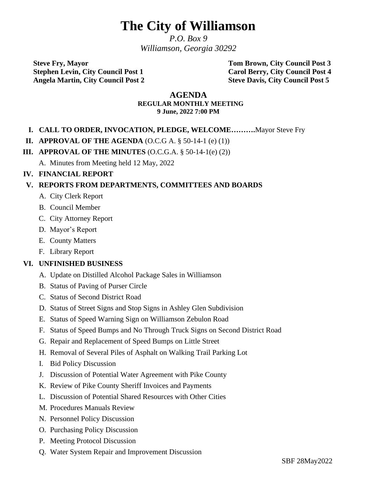# **The City of Williamson**

*P.O. Box 9 Williamson, Georgia 30292*

**Steve Fry, Mayor Tom Brown, City Council Post 3 Stephen Levin, City Council Post 1 Carol Berry, City Council Post 4 Angela Martin, City Council Post 2 Steve Davis, City Council Post 5**

#### **AGENDA REGULAR MONTHLY MEETING 9 June, 2022 7:00 PM**

## **I. CALL TO ORDER, INVOCATION, PLEDGE, WELCOME……….**Mayor Steve Fry

#### **II. APPROVAL OF THE AGENDA** (O.C.G A. § 50-14-1 (e) (1))

#### **III. APPROVAL OF THE MINUTES** (O.C.G.A. § 50-14-1(e) (2))

A. Minutes from Meeting held 12 May, 2022

## **IV. FINANCIAL REPORT**

## **V. REPORTS FROM DEPARTMENTS, COMMITTEES AND BOARDS**

- A. City Clerk Report
- B. Council Member
- C. City Attorney Report
- D. Mayor's Report
- E. County Matters
- F. Library Report

## **VI. UNFINISHED BUSINESS**

- A. Update on Distilled Alcohol Package Sales in Williamson
- B. Status of Paving of Purser Circle
- C. Status of Second District Road
- D. Status of Street Signs and Stop Signs in Ashley Glen Subdivision
- E. Status of Speed Warning Sign on Williamson Zebulon Road
- F. Status of Speed Bumps and No Through Truck Signs on Second District Road
- G. Repair and Replacement of Speed Bumps on Little Street
- H. Removal of Several Piles of Asphalt on Walking Trail Parking Lot
- I. Bid Policy Discussion
- J. Discussion of Potential Water Agreement with Pike County
- K. Review of Pike County Sheriff Invoices and Payments
- L. Discussion of Potential Shared Resources with Other Cities
- M. Procedures Manuals Review
- N. Personnel Policy Discussion
- O. Purchasing Policy Discussion
- P. Meeting Protocol Discussion
- Q. Water System Repair and Improvement Discussion